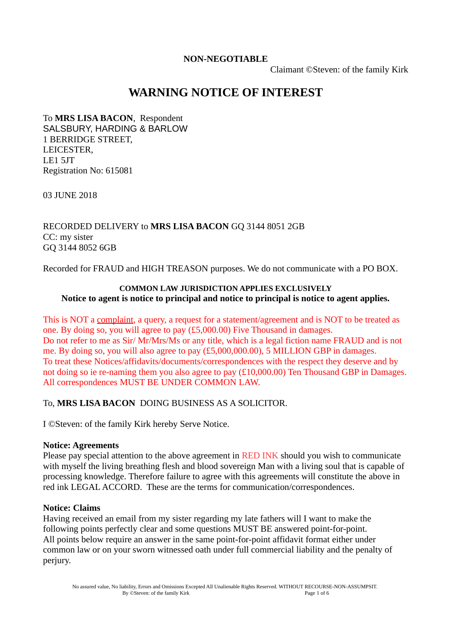### **NON-NEGOTIABLE**

Claimant ©Steven: of the family Kirk

# **WARNING NOTICE OF INTEREST**

To **MRS LISA BACON**, Respondent SALSBURY, HARDING & BARLOW 1 BERRIDGE STREET, LEICESTER, LE1 5JT Registration No: 615081

03 JUNE 2018

RECORDED DELIVERY to **MRS LISA BACON** GQ 3144 8051 2GB CC: my sister GQ 3144 8052 6GB

Recorded for FRAUD and HIGH TREASON purposes. We do not communicate with a PO BOX.

#### **COMMON LAW JURISDICTION APPLIES EXCLUSIVELY Notice to agent is notice to principal and notice to principal is notice to agent applies.**

This is NOT a complaint, a query, a request for a statement/agreement and is NOT to be treated as one. By doing so, you will agree to pay (£5,000.00) Five Thousand in damages. Do not refer to me as Sir/ Mr/Mrs/Ms or any title, which is a legal fiction name FRAUD and is not me. By doing so, you will also agree to pay (£5,000,000.00), 5 MILLION GBP in damages. To treat these Notices/affidavits/documents/correspondences with the respect they deserve and by not doing so ie re-naming them you also agree to pay (£10,000.00) Ten Thousand GBP in Damages. All correspondences MUST BE UNDER COMMON LAW.

To, **MRS LISA BACON** DOING BUSINESS AS A SOLICITOR.

I ©Steven: of the family Kirk hereby Serve Notice.

#### **Notice: Agreements**

Please pay special attention to the above agreement in RED INK should you wish to communicate with myself the living breathing flesh and blood sovereign Man with a living soul that is capable of processing knowledge. Therefore failure to agree with this agreements will constitute the above in red ink LEGAL ACCORD. These are the terms for communication/correspondences.

#### **Notice: Claims**

Having received an email from my sister regarding my late fathers will I want to make the following points perfectly clear and some questions MUST BE answered point-for-point. All points below require an answer in the same point-for-point affidavit format either under common law or on your sworn witnessed oath under full commercial liability and the penalty of perjury.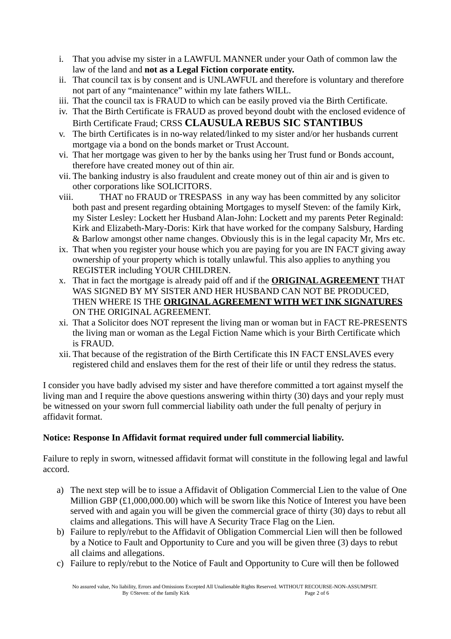- i. That you advise my sister in a LAWFUL MANNER under your Oath of common law the law of the land and **not as a Legal Fiction corporate entity.**
- ii. That council tax is by consent and is UNLAWFUL and therefore is voluntary and therefore not part of any "maintenance" within my late fathers WILL.
- iii. That the council tax is FRAUD to which can be easily proved via the Birth Certificate.
- iv. That the Birth Certificate is FRAUD as proved beyond doubt with the enclosed evidence of Birth Certificate Fraud; CRSS **CLAUSULA REBUS SIC STANTIBUS**
- v. The birth Certificates is in no-way related/linked to my sister and/or her husbands current mortgage via a bond on the bonds market or Trust Account.
- vi. That her mortgage was given to her by the banks using her Trust fund or Bonds account, therefore have created money out of thin air.
- vii. The banking industry is also fraudulent and create money out of thin air and is given to other corporations like SOLICITORS.
- viii. THAT no FRAUD or TRESPASS in any way has been committed by any solicitor both past and present regarding obtaining Mortgages to myself Steven: of the family Kirk, my Sister Lesley: Lockett her Husband Alan-John: Lockett and my parents Peter Reginald: Kirk and Elizabeth-Mary-Doris: Kirk that have worked for the company Salsbury, Harding & Barlow amongst other name changes. Obviously this is in the legal capacity Mr, Mrs etc.
- ix. That when you register your house which you are paying for you are IN FACT giving away ownership of your property which is totally unlawful. This also applies to anything you REGISTER including YOUR CHILDREN.
- x. That in fact the mortgage is already paid off and if the **ORIGINAL AGREEMENT** THAT WAS SIGNED BY MY SISTER AND HER HUSBAND CAN NOT BE PRODUCED, THEN WHERE IS THE **ORIGINAL AGREEMENT WITH WET INK SIGNATURES** ON THE ORIGINAL AGREEMENT.
- xi. That a Solicitor does NOT represent the living man or woman but in FACT RE-PRESENTS the living man or woman as the Legal Fiction Name which is your Birth Certificate which is FRAUD.
- xii. That because of the registration of the Birth Certificate this IN FACT ENSLAVES every registered child and enslaves them for the rest of their life or until they redress the status.

I consider you have badly advised my sister and have therefore committed a tort against myself the living man and I require the above questions answering within thirty (30) days and your reply must be witnessed on your sworn full commercial liability oath under the full penalty of perjury in affidavit format.

# **Notice: Response In Affidavit format required under full commercial liability.**

Failure to reply in sworn, witnessed affidavit format will constitute in the following legal and lawful accord.

- a) The next step will be to issue a Affidavit of Obligation Commercial Lien to the value of One Million GBP (£1,000,000.00) which will be sworn like this Notice of Interest you have been served with and again you will be given the commercial grace of thirty (30) days to rebut all claims and allegations. This will have A Security Trace Flag on the Lien.
- b) Failure to reply/rebut to the Affidavit of Obligation Commercial Lien will then be followed by a Notice to Fault and Opportunity to Cure and you will be given three (3) days to rebut all claims and allegations.
- c) Failure to reply/rebut to the Notice of Fault and Opportunity to Cure will then be followed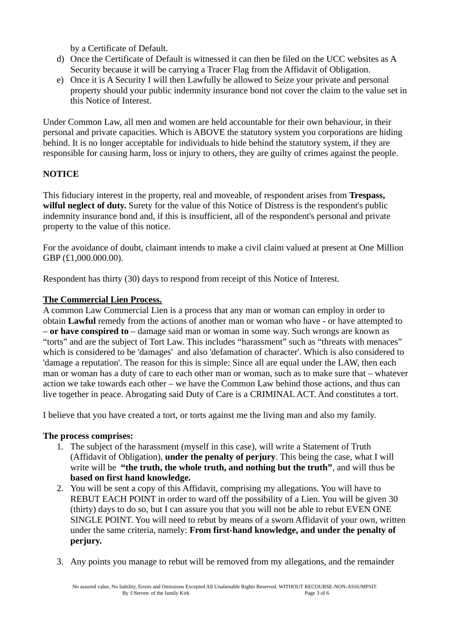by a Certificate of Default.

- d) Once the Certificate of Default is witnessed it can then be filed on the UCC websites as A Security because it will be carrying a Tracer Flag from the Affidavit of Obligation.
- e) Once it is A Security I will then Lawfully be allowed to Seize your private and personal property should your public indemnity insurance bond not cover the claim to the value set in this Notice of Interest.

Under Common Law, all men and women are held accountable for their own behaviour, in their personal and private capacities. Which is ABOVE the statutory system you corporations are hiding behind. It is no longer acceptable for individuals to hide behind the statutory system, if they are responsible for causing harm, loss or injury to others, they are guilty of crimes against the people.

# **NOTICE**

This fiduciary interest in the property, real and moveable, of respondent arises from **Trespass, wilful neglect of duty.** Surety for the value of this Notice of Distress is the respondent's public indemnity insurance bond and, if this is insufficient, all of the respondent's personal and private property to the value of this notice.

For the avoidance of doubt, claimant intends to make a civil claim valued at present at One Million GBP (£1,000.000.00).

Respondent has thirty (30) days to respond from receipt of this Notice of Interest.

# **The Commercial Lien Process.**

A common Law Commercial Lien is a process that any man or woman can employ in order to obtain **Lawful** remedy from the actions of another man or woman who have - or have attempted to – **or have conspired to** – damage said man or woman in some way. Such wrongs are known as "torts" and are the subject of Tort Law. This includes "harassment" such as "threats with menaces" which is considered to be 'damages' and also 'defamation of character'. Which is also considered to 'damage a reputation'. The reason for this is simple: Since all are equal under the LAW, then each man or woman has a duty of care to each other man or woman, such as to make sure that – whatever action we take towards each other – we have the Common Law behind those actions, and thus can live together in peace. Abrogating said Duty of Care is a CRIMINAL ACT. And constitutes a tort.

I believe that you have created a tort, or torts against me the living man and also my family.

## **The process comprises:**

- 1. The subject of the harassment (myself in this case), will write a Statement of Truth (Affidavit of Obligation), **under the penalty of perjury**. This being the case, what I will write will be **"the truth, the whole truth, and nothing but the truth"**, and will thus be **based on first hand knowledge.**
- 2. You will be sent a copy of this Affidavit, comprising my allegations. You will have to REBUT EACH POINT in order to ward off the possibility of a Lien. You will be given 30 (thirty) days to do so, but I can assure you that you will not be able to rebut EVEN ONE SINGLE POINT. You will need to rebut by means of a sworn Affidavit of your own, written under the same criteria, namely: **From first-hand knowledge, and under the penalty of perjury.**
- 3. Any points you manage to rebut will be removed from my allegations, and the remainder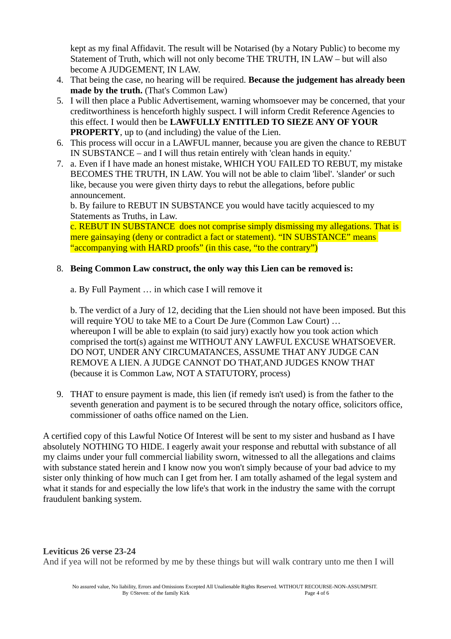kept as my final Affidavit. The result will be Notarised (by a Notary Public) to become my Statement of Truth, which will not only become THE TRUTH, IN LAW – but will also become A JUDGEMENT, IN LAW.

- 4. That being the case, no hearing will be required. **Because the judgement has already been made by the truth.** (That's Common Law)
- 5. I will then place a Public Advertisement, warning whomsoever may be concerned, that your creditworthiness is henceforth highly suspect. I will inform Credit Reference Agencies to this effect. I would then be **LAWFULLY ENTITLED TO SIEZE ANY OF YOUR PROPERTY**, up to (and including) the value of the Lien.
- 6. This process will occur in a LAWFUL manner, because you are given the chance to REBUT IN SUBSTANCE – and I will thus retain entirely with 'clean hands in equity.'
- 7. a. Even if I have made an honest mistake, WHICH YOU FAILED TO REBUT, my mistake BECOMES THE TRUTH, IN LAW. You will not be able to claim 'libel'. 'slander' or such like, because you were given thirty days to rebut the allegations, before public announcement.

b. By failure to REBUT IN SUBSTANCE you would have tacitly acquiesced to my Statements as Truths, in Law.

c. REBUT IN SUBSTANCE does not comprise simply dismissing my allegations. That is mere gainsaying (deny or contradict a fact or statement). "IN SUBSTANCE" means "accompanying with HARD proofs" (in this case, "to the contrary")

#### 8. **Being Common Law construct, the only way this Lien can be removed is:**

a. By Full Payment … in which case I will remove it

b. The verdict of a Jury of 12, deciding that the Lien should not have been imposed. But this will require YOU to take ME to a Court De Jure (Common Law Court) ... whereupon I will be able to explain (to said jury) exactly how you took action which comprised the tort(s) against me WITHOUT ANY LAWFUL EXCUSE WHATSOEVER. DO NOT, UNDER ANY CIRCUMATANCES, ASSUME THAT ANY JUDGE CAN REMOVE A LIEN. A JUDGE CANNOT DO THAT,AND JUDGES KNOW THAT (because it is Common Law, NOT A STATUTORY, process)

9. THAT to ensure payment is made, this lien (if remedy isn't used) is from the father to the seventh generation and payment is to be secured through the notary office, solicitors office, commissioner of oaths office named on the Lien.

A certified copy of this Lawful Notice Of Interest will be sent to my sister and husband as I have absolutely NOTHING TO HIDE. I eagerly await your response and rebuttal with substance of all my claims under your full commercial liability sworn, witnessed to all the allegations and claims with substance stated herein and I know now you won't simply because of your bad advice to my sister only thinking of how much can I get from her. I am totally ashamed of the legal system and what it stands for and especially the low life's that work in the industry the same with the corrupt fraudulent banking system.

**Leviticus 26 verse 23-24** And if yea will not be reformed by me by these things but will walk contrary unto me then I will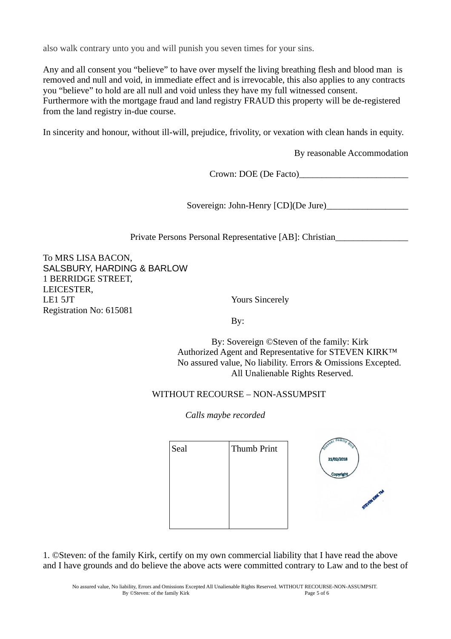also walk contrary unto you and will punish you seven times for your sins.

Any and all consent you "believe" to have over myself the living breathing flesh and blood man is removed and null and void, in immediate effect and is irrevocable, this also applies to any contracts you "believe" to hold are all null and void unless they have my full witnessed consent. Furthermore with the mortgage fraud and land registry FRAUD this property will be de-registered from the land registry in-due course.

In sincerity and honour, without ill-will, prejudice, frivolity, or vexation with clean hands in equity.

By reasonable Accommodation

Crown: DOE (De Facto)\_\_\_\_\_\_\_\_\_\_\_\_\_\_\_\_\_\_\_\_\_\_\_\_

Sovereign: John-Henry [CD](De Jure)\_\_\_\_\_\_\_\_\_\_\_\_\_\_\_\_\_\_

Private Persons Personal Representative [AB]: Christian\_\_\_\_\_\_\_\_\_\_\_\_\_\_\_\_

To MRS LISA BACON, SALSBURY, HARDING & BARLOW 1 BERRIDGE STREET, LEICESTER, LE1 5JT Yours Sincerely Registration No: 615081

By:

 By: Sovereign ©Steven of the family: Kirk Authorized Agent and Representative for STEVEN KIRK™ No assured value, No liability. Errors & Omissions Excepted. All Unalienable Rights Reserved.

## WITHOUT RECOURSE – NON-ASSUMPSIT

*Calls maybe recorded*

| Seal | Thumb Print |
|------|-------------|
|      |             |
|      |             |
|      |             |
|      |             |
|      |             |



1. ©Steven: of the family Kirk, certify on my own commercial liability that I have read the above and I have grounds and do believe the above acts were committed contrary to Law and to the best of